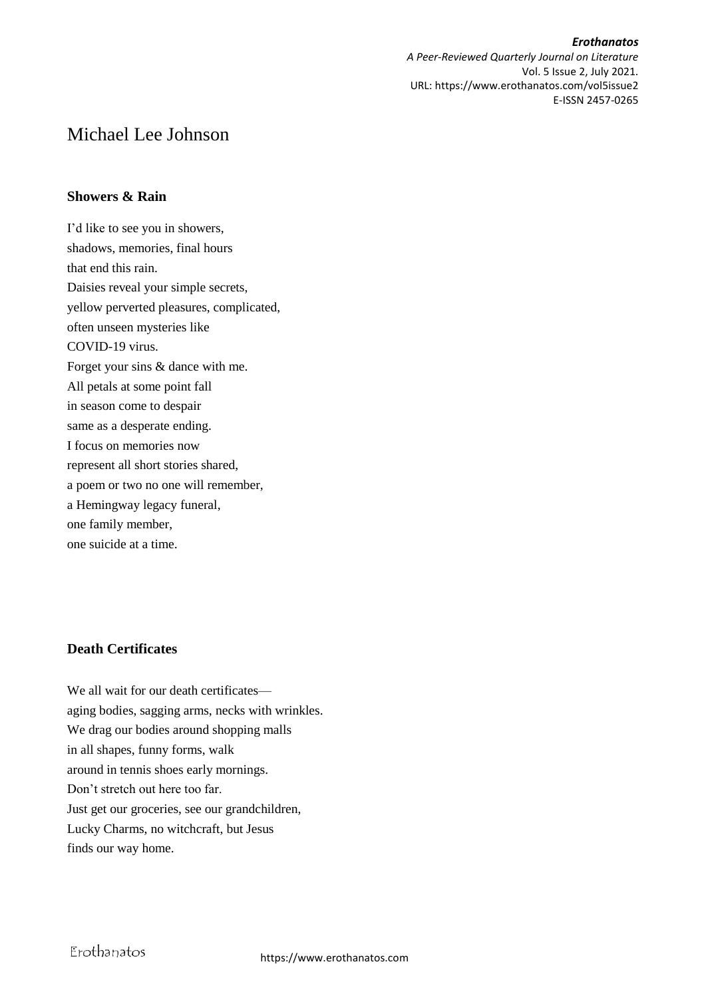*Erothanatos A Peer-Reviewed Quarterly Journal on Literature* Vol. 5 Issue 2, July 2021. URL: https://www.erothanatos.com/vol5issue2 E-ISSN 2457-0265

# Michael Lee Johnson

#### **Showers & Rain**

I'd like to see you in showers, shadows, memories, final hours that end this rain. Daisies reveal your simple secrets, yellow perverted pleasures, complicated, often unseen mysteries like COVID-19 virus. Forget your sins & dance with me. All petals at some point fall in season come to despair same as a desperate ending. I focus on memories now represent all short stories shared, a poem or two no one will remember, a Hemingway legacy funeral, one family member, one suicide at a time.

### **Death Certificates**

We all wait for our death certificates aging bodies, sagging arms, necks with wrinkles. We drag our bodies around shopping malls in all shapes, funny forms, walk around in tennis shoes early mornings. Don't stretch out here too far. Just get our groceries, see our grandchildren, Lucky Charms, no witchcraft, but Jesus finds our way home.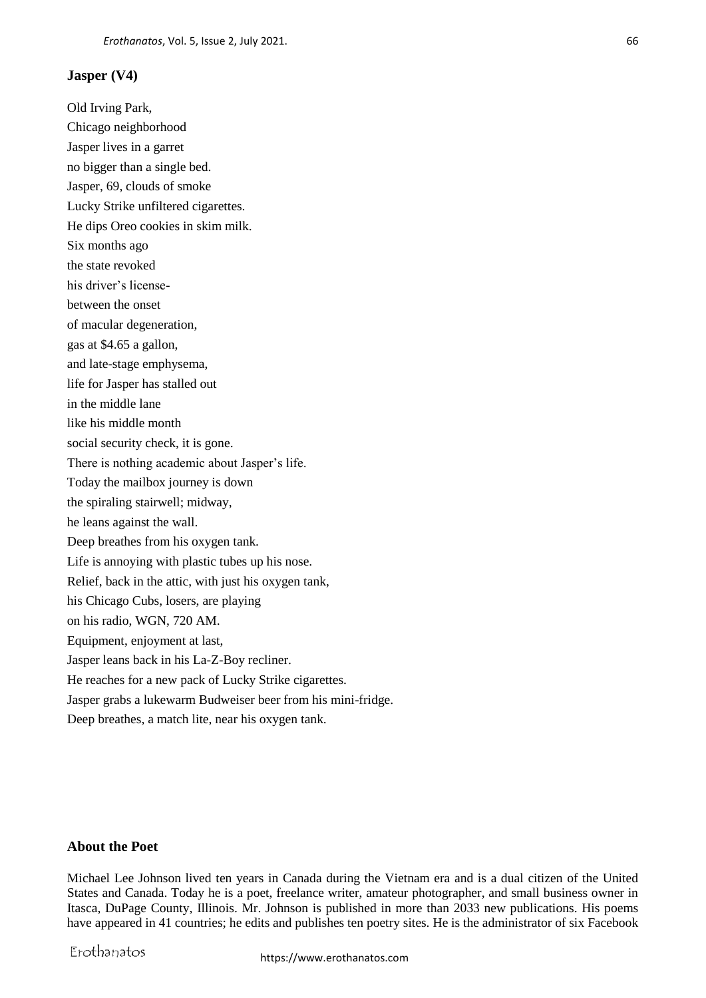#### **Jasper (V4)**

Old Irving Park, Chicago neighborhood Jasper lives in a garret no bigger than a single bed. Jasper, 69, clouds of smoke Lucky Strike unfiltered cigarettes. He dips Oreo cookies in skim milk. Six months ago the state revoked his driver's licensebetween the onset of macular degeneration, gas at \$4.65 a gallon, and late-stage emphysema, life for Jasper has stalled out in the middle lane like his middle month social security check, it is gone. There is nothing academic about Jasper's life. Today the mailbox journey is down the spiraling stairwell; midway, he leans against the wall. Deep breathes from his oxygen tank. Life is annoying with plastic tubes up his nose. Relief, back in the attic, with just his oxygen tank, his Chicago Cubs, losers, are playing on his radio, WGN, 720 AM. Equipment, enjoyment at last, Jasper leans back in his La-Z-Boy recliner. He reaches for a new pack of Lucky Strike cigarettes. Jasper grabs a lukewarm Budweiser beer from his mini-fridge. Deep breathes, a match lite, near his oxygen tank.

## **About the Poet**

Michael Lee Johnson lived ten years in Canada during the Vietnam era and is a dual citizen of the United States and Canada. Today he is a poet, freelance writer, amateur photographer, and small business owner in Itasca, DuPage County, Illinois. Mr. Johnson is published in more than 2033 new publications. His poems have appeared in 41 countries; he edits and publishes ten poetry sites. He is the administrator of six Facebook